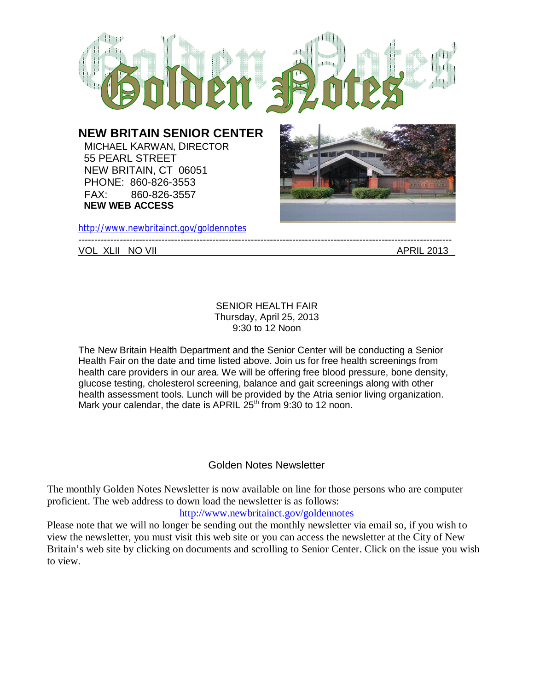

http://www.newbritainct.gov/goldennotes VOL XLII NO VII and the second second second second second second second second second second second second second second second second second second second second second second second second second second second second se

## SENIOR HEALTH FAIR Thursday, April 25, 2013 9:30 to 12 Noon

The New Britain Health Department and the Senior Center will be conducting a Senior Health Fair on the date and time listed above. Join us for free health screenings from health care providers in our area. We will be offering free blood pressure, bone density, glucose testing, cholesterol screening, balance and gait screenings along with other health assessment tools. Lunch will be provided by the Atria senior living organization. Mark your calendar, the date is APRIL  $25<sup>th</sup>$  from 9:30 to 12 noon.

# Golden Notes Newsletter

The monthly Golden Notes Newsletter is now available on line for those persons who are computer proficient. The web address to down load the newsletter is as follows:

## http://www.newbritainct.gov/goldennotes

Please note that we will no longer be sending out the monthly newsletter via email so, if you wish to view the newsletter, you must visit this web site or you can access the newsletter at the City of New Britain's web site by clicking on documents and scrolling to Senior Center. Click on the issue you wish to view.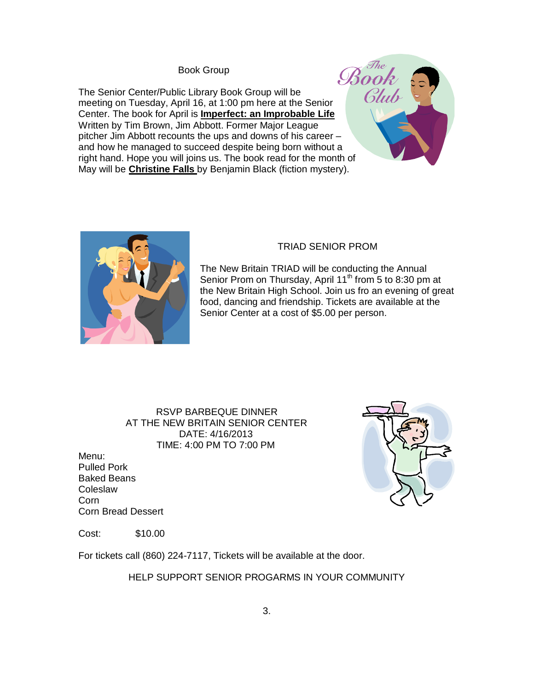Book Group

The Senior Center/Public Library Book Group will be meeting on Tuesday, April 16, at 1:00 pm here at the Senior Center. The book for April is **Imperfect: an Improbable Life** Written by Tim Brown, Jim Abbott. Former Major League pitcher Jim Abbott recounts the ups and downs of his career – and how he managed to succeed despite being born without a right hand. Hope you will joins us. The book read for the month of May will be **Christine Falls** by Benjamin Black (fiction mystery).





## TRIAD SENIOR PROM

The New Britain TRIAD will be conducting the Annual Senior Prom on Thursday, April 11<sup>th</sup> from 5 to 8:30 pm at the New Britain High School. Join us fro an evening of great food, dancing and friendship. Tickets are available at the Senior Center at a cost of \$5.00 per person.

### RSVP BARBEQUE DINNER AT THE NEW BRITAIN SENIOR CENTER DATE: 4/16/2013 TIME: 4:00 PM TO 7:00 PM

Menu: Pulled Pork Baked Beans **Coleslaw** Corn Corn Bread Dessert



Cost: \$10.00

For tickets call (860) 224-7117, Tickets will be available at the door.

HELP SUPPORT SENIOR PROGARMS IN YOUR COMMUNITY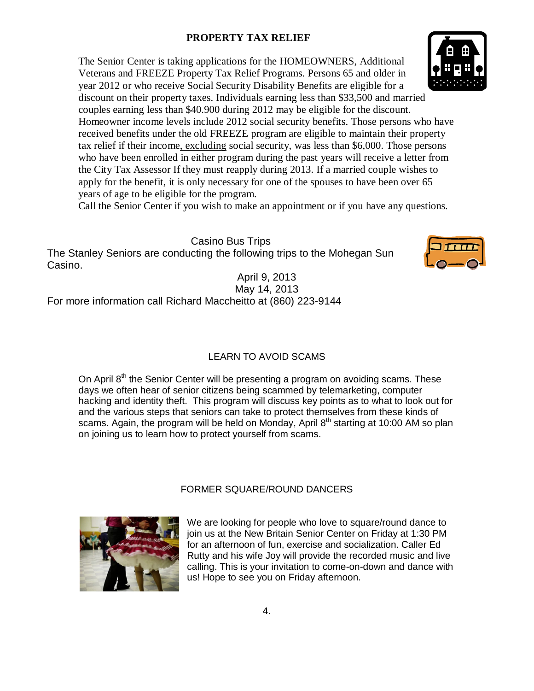# **PROPERTY TAX RELIEF**

The Senior Center is taking applications for the HOMEOWNERS, Additional Veterans and FREEZE Property Tax Relief Programs. Persons 65 and older in year 2012 or who receive Social Security Disability Benefits are eligible for a discount on their property taxes. Individuals earning less than \$33,500 and married couples earning less than \$40.900 during 2012 may be eligible for the discount.

Homeowner income levels include 2012 social security benefits. Those persons who have received benefits under the old FREEZE program are eligible to maintain their property tax relief if their income, excluding social security, was less than \$6,000. Those persons who have been enrolled in either program during the past years will receive a letter from the City Tax Assessor If they must reapply during 2013. If a married couple wishes to apply for the benefit, it is only necessary for one of the spouses to have been over 65 years of age to be eligible for the program.

Call the Senior Center if you wish to make an appointment or if you have any questions.

Casino Bus Trips The Stanley Seniors are conducting the following trips to the Mohegan Sun Casino.

April 9, 2013 May 14, 2013 For more information call Richard Maccheitto at (860) 223-9144

# LEARN TO AVOID SCAMS

On April  $8<sup>th</sup>$  the Senior Center will be presenting a program on avoiding scams. These days we often hear of senior citizens being scammed by telemarketing, computer hacking and identity theft. This program will discuss key points as to what to look out for and the various steps that seniors can take to protect themselves from these kinds of scams. Again, the program will be held on Monday, April  $8<sup>th</sup>$  starting at 10:00 AM so plan on joining us to learn how to protect yourself from scams.

## FORMER SQUARE/ROUND DANCERS